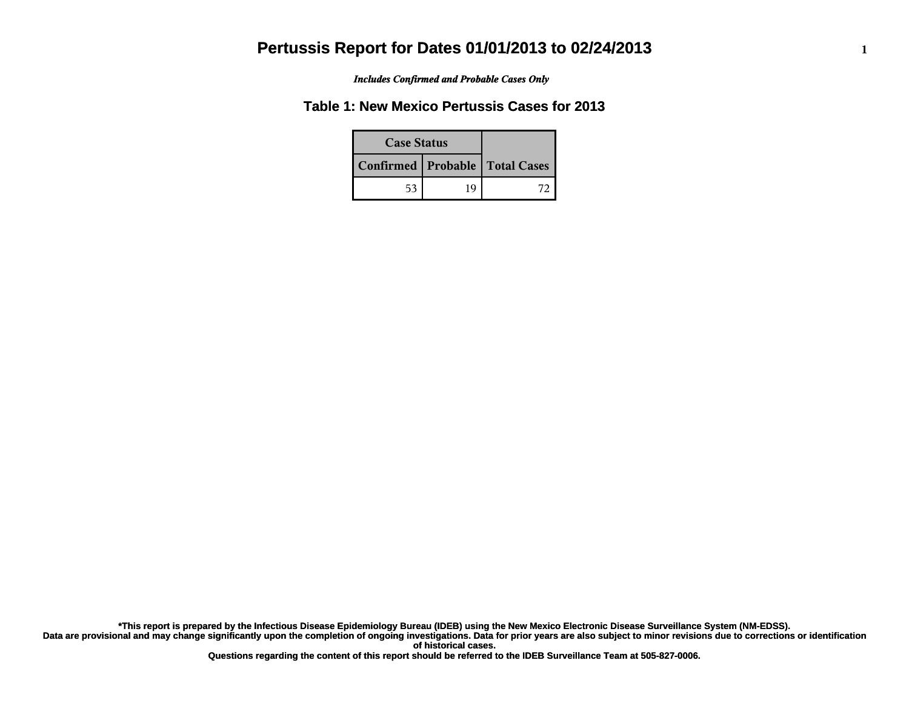*Includes Confirmed and Probable Cases Only*

### **Table 1: New Mexico Pertussis Cases for 2013**

| <b>Case Status</b> |    |                                    |
|--------------------|----|------------------------------------|
|                    |    | Confirmed   Probable   Total Cases |
| 53                 | 19 |                                    |

**Data are provisional and may change significantly upon the completion of ongoing investigations. Data for prior years are also subject to minor revisions due to corrections or identification of historical cases. \*This report is prepared by the Infectious Disease Epidemiology Bureau (IDEB) using the New Mexico Electronic Disease Surveillance System (NM-EDSS).**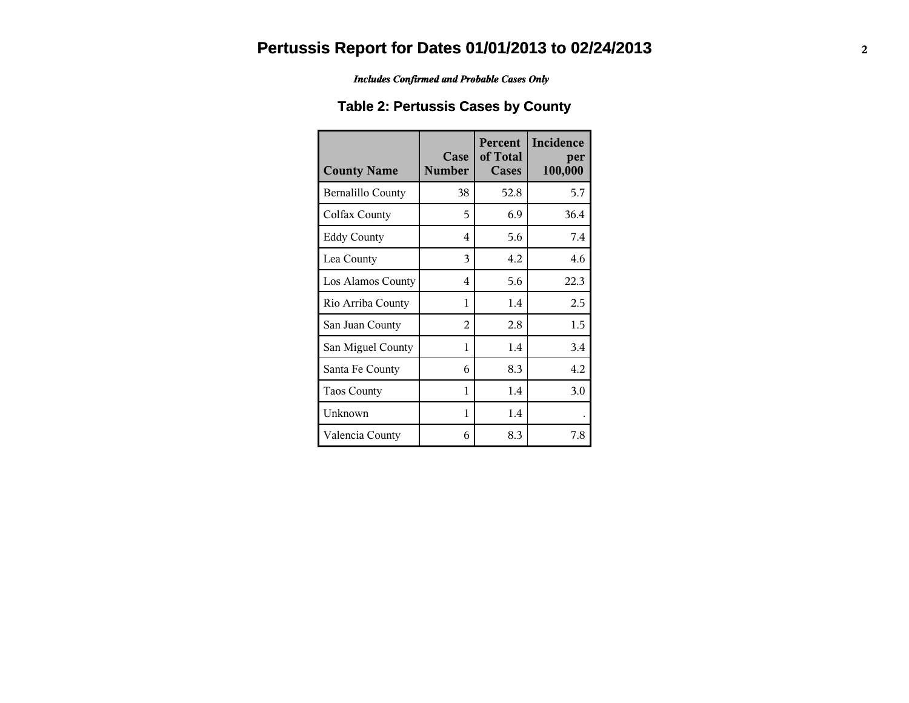*Includes Confirmed and Probable Cases Only*

### **Table 2: Pertussis Cases by County**

| <b>County Name</b> | Case<br><b>Number</b>   | Percent<br>of Total<br>Cases | Incidence<br>per<br>100,000 |
|--------------------|-------------------------|------------------------------|-----------------------------|
| Bernalillo County  | 38                      | 52.8                         | 5.7                         |
| Colfax County      | 5                       | 6.9                          | 36.4                        |
| <b>Eddy County</b> | $\overline{\mathbf{4}}$ | 5.6                          | 7.4                         |
| Lea County         | 3                       | 4.2                          | 4.6                         |
| Los Alamos County  | 4                       | 5.6                          | 22.3                        |
| Rio Arriba County  | 1                       | 1.4                          | 2.5                         |
| San Juan County    | 2                       | 2.8                          | 1.5                         |
| San Miguel County  | 1                       | 1.4                          | 3.4                         |
| Santa Fe County    | 6                       | 8.3                          | 4.2                         |
| <b>Taos County</b> | 1                       | 1.4                          | 3.0                         |
| Unknown            | 1                       | 1.4                          |                             |
| Valencia County    | 6                       | 8.3                          | 7.8                         |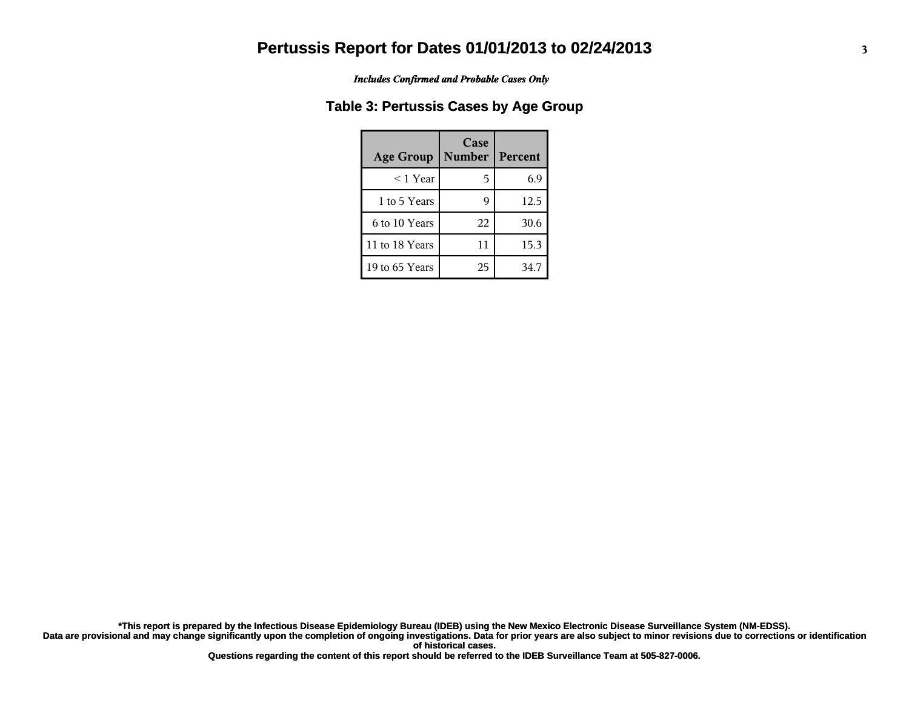*Includes Confirmed and Probable Cases Only*

#### **Table 3: Pertussis Cases by Age Group**

| <b>Age Group</b> | Case<br><b>Number</b> | Percent |
|------------------|-----------------------|---------|
| $<$ 1 Year       | 5                     | 6.9     |
| 1 to 5 Years     |                       | 12.5    |
| 6 to 10 Years    | 22                    | 30.6    |
| 11 to 18 Years   | 11                    | 15.3    |
| 19 to 65 Years   | 25                    | 34.7    |

**Data are provisional and may change significantly upon the completion of ongoing investigations. Data for prior years are also subject to minor revisions due to corrections or identification of historical cases. \*This report is prepared by the Infectious Disease Epidemiology Bureau (IDEB) using the New Mexico Electronic Disease Surveillance System (NM-EDSS).**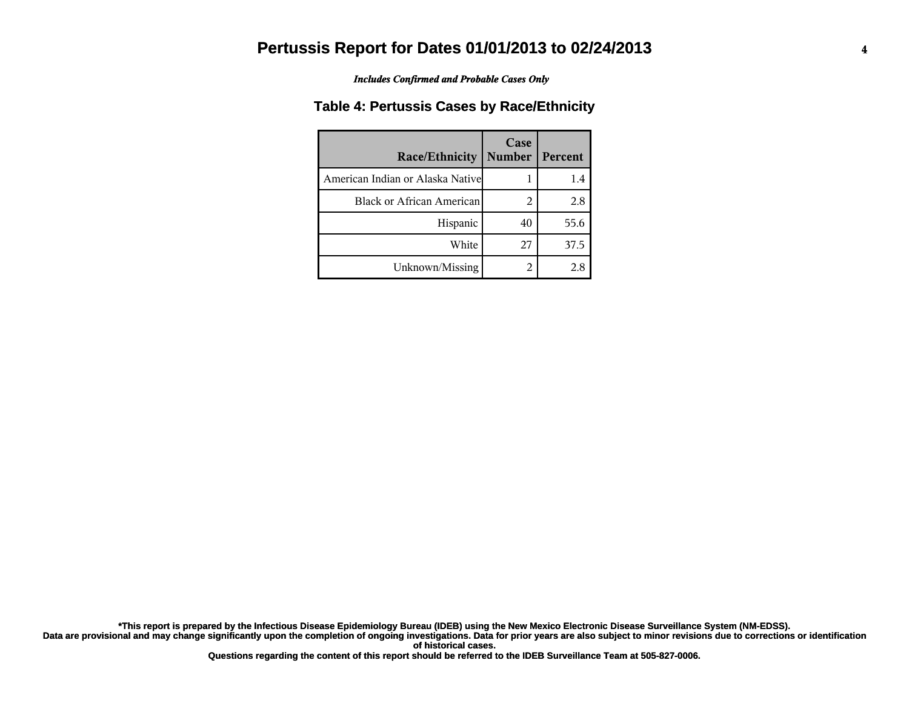*Includes Confirmed and Probable Cases Only*

#### **Table 4: Pertussis Cases by Race/Ethnicity**

| Race/Ethnicity                   | Case<br><b>Number</b> | Percent |
|----------------------------------|-----------------------|---------|
| American Indian or Alaska Native |                       | 1.4     |
| <b>Black or African American</b> | 2                     | 2.8     |
| Hispanic                         | 40                    | 55.6    |
| White                            | 27                    | 37.5    |
| Unknown/Missing                  | 2                     | 2.8     |

**Data are provisional and may change significantly upon the completion of ongoing investigations. Data for prior years are also subject to minor revisions due to corrections or identification of historical cases. \*This report is prepared by the Infectious Disease Epidemiology Bureau (IDEB) using the New Mexico Electronic Disease Surveillance System (NM-EDSS).**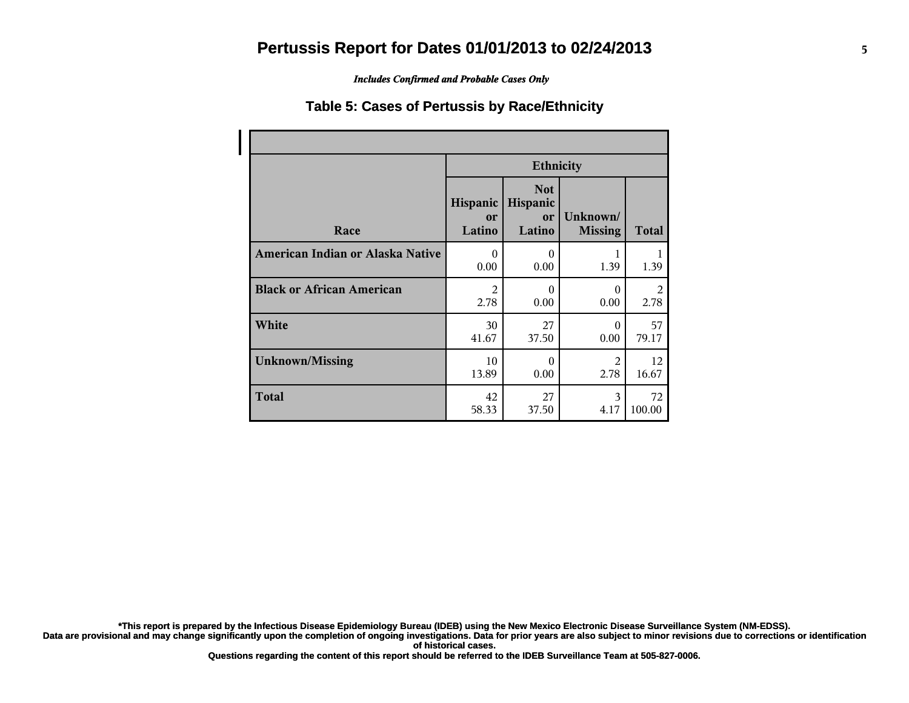*Includes Confirmed and Probable Cases Only*

#### **Table 5: Cases of Pertussis by Race/Ethnicity**

|                                  | <b>Ethnicity</b>         |                                        |                            |              |
|----------------------------------|--------------------------|----------------------------------------|----------------------------|--------------|
| Race                             | Hispanic<br>or<br>Latino | <b>Not</b><br>Hispanic<br>or<br>Latino | Unknown/<br><b>Missing</b> | <b>Total</b> |
| American Indian or Alaska Native | $\Omega$                 | $\theta$                               | 1                          | 1            |
|                                  | 0.00                     | 0.00                                   | 1.39                       | 1.39         |
| <b>Black or African American</b> | $\overline{2}$           | $\theta$                               | $\Omega$                   | 2            |
|                                  | 2.78                     | 0.00                                   | 0.00                       | 2.78         |
| White                            | 30                       | 27                                     | $\Omega$                   | 57           |
|                                  | 41.67                    | 37.50                                  | 0.00                       | 79.17        |
| <b>Unknown/Missing</b>           | 10                       | $\theta$                               | 2                          | 12           |
|                                  | 13.89                    | 0.00                                   | 2.78                       | 16.67        |
| <b>Total</b>                     | 42                       | 27                                     | 3                          | 72           |
|                                  | 58.33                    | 37.50                                  | 4.17                       | 100.00       |

**\*This report is prepared by the Infectious Disease Epidemiology Bureau (IDEB) using the New Mexico Electronic Disease Surveillance System (NM-EDSS).**

**Data are provisional and may change significantly upon the completion of ongoing investigations. Data for prior years are also subject to minor revisions due to corrections or identification of historical cases.**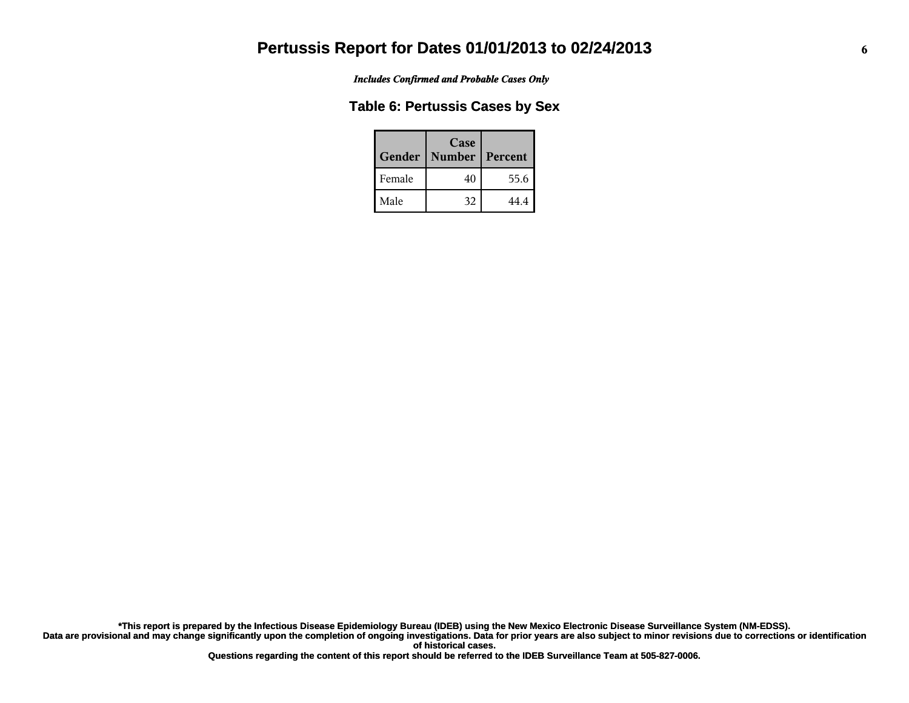*Includes Confirmed and Probable Cases Only*

#### **Table 6: Pertussis Cases by Sex**

| Gender | Case<br><b>Number</b> | Percent |
|--------|-----------------------|---------|
| Female | 40                    | 55.6    |
| Male   | 32                    | 44 4    |

**Data are provisional and may change significantly upon the completion of ongoing investigations. Data for prior years are also subject to minor revisions due to corrections or identification of historical cases. \*This report is prepared by the Infectious Disease Epidemiology Bureau (IDEB) using the New Mexico Electronic Disease Surveillance System (NM-EDSS).**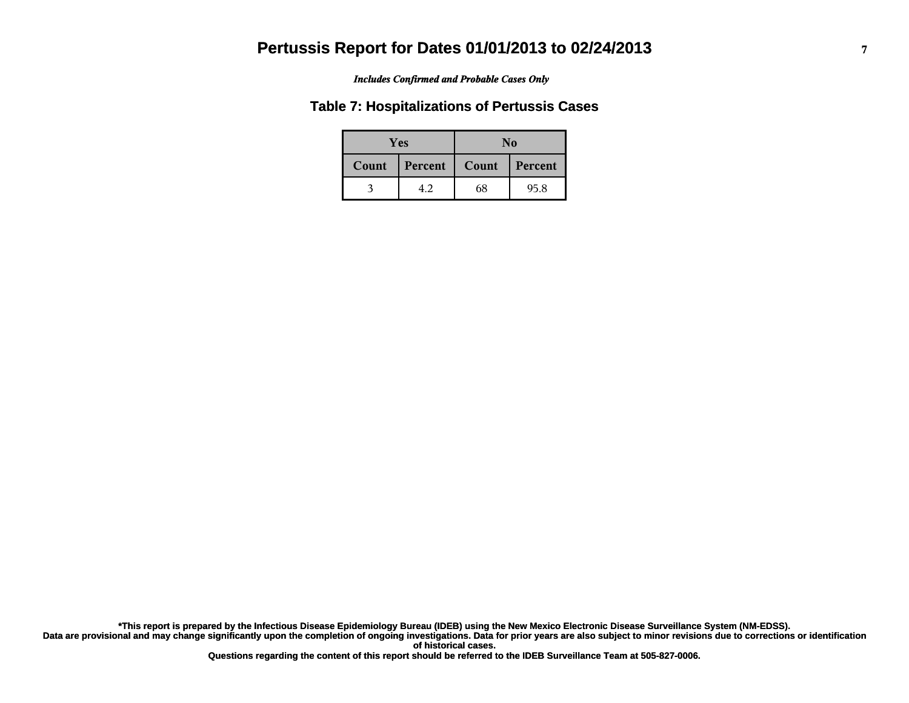#### *Includes Confirmed and Probable Cases Only*

#### **Table 7: Hospitalizations of Pertussis Cases**

|       | <b>Yes</b> |       | No      |  |  |
|-------|------------|-------|---------|--|--|
| Count | Percent    | Count | Percent |  |  |
|       | 4.2        | 68    | 95.8    |  |  |

**Data are provisional and may change significantly upon the completion of ongoing investigations. Data for prior years are also subject to minor revisions due to corrections or identification of historical cases. \*This report is prepared by the Infectious Disease Epidemiology Bureau (IDEB) using the New Mexico Electronic Disease Surveillance System (NM-EDSS).**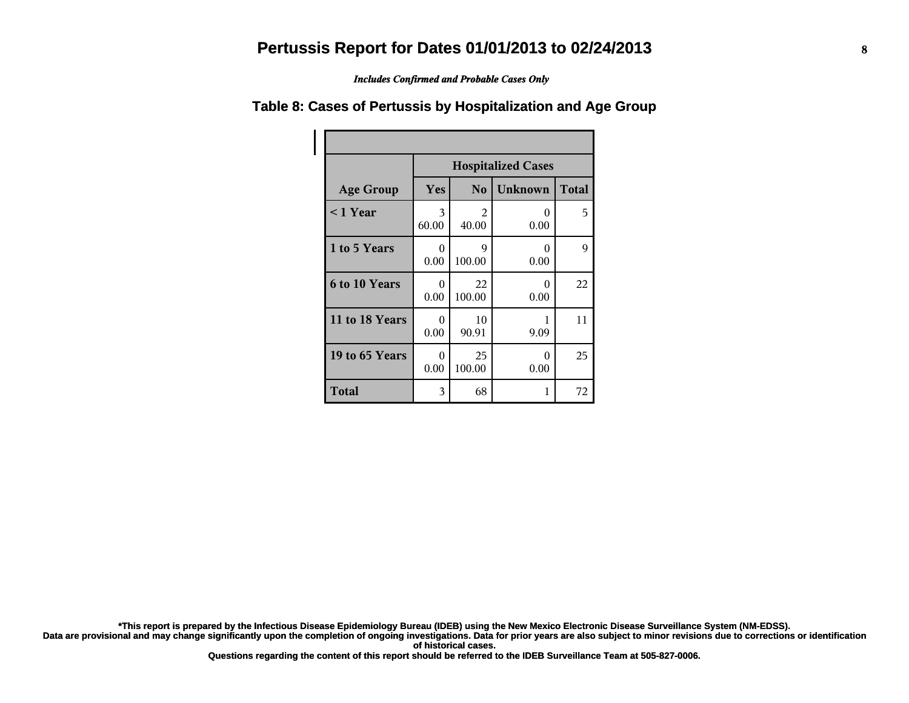*Includes Confirmed and Probable Cases Only*

|                      | <b>Hospitalized Cases</b> |                |                |              |
|----------------------|---------------------------|----------------|----------------|--------------|
| <b>Age Group</b>     | Yes                       | N <sub>0</sub> | <b>Unknown</b> | <b>Total</b> |
| $\leq$ 1 Year        | 3<br>60.00                | 2<br>40.00     | 0<br>0.00      | 5            |
| 1 to 5 Years         | $\Omega$<br>0.00          | 9<br>100.00    | 0<br>0.00      | 9            |
| <b>6 to 10 Years</b> | 0<br>0.00                 | 22<br>100.00   | 0<br>0.00      | 22           |
| 11 to 18 Years       | 0<br>0.00                 | 10<br>90.91    | 9.09           | 11           |
| 19 to 65 Years       | 0<br>0.00                 | 25<br>100.00   | 0<br>0.00      | 25           |
| <b>Total</b>         | 3                         | 68             | 1              | 72           |

#### **Table 8: Cases of Pertussis by Hospitalization and Age Group**

**\*This report is prepared by the Infectious Disease Epidemiology Bureau (IDEB) using the New Mexico Electronic Disease Surveillance System (NM-EDSS).**

**Data are provisional and may change significantly upon the completion of ongoing investigations. Data for prior years are also subject to minor revisions due to corrections or identification of historical cases.**